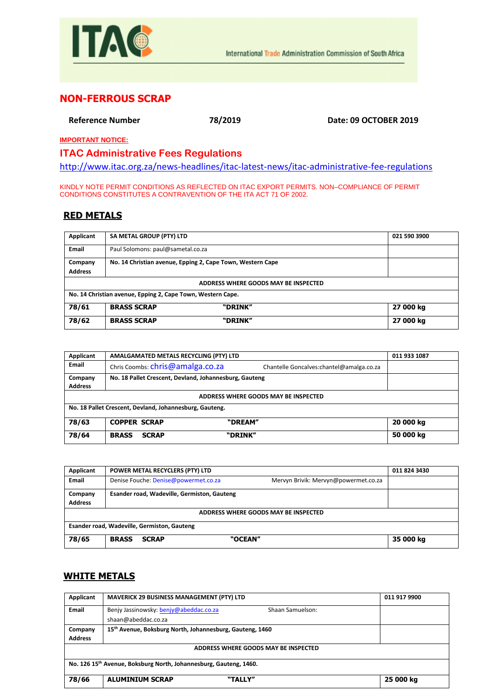

## **NON-FERROUS SCRAP**

**Reference Number 78/2019 Date: 09 OCTOBER 2019**

**IMPORTANT NOTICE:**

## **ITAC Administrative Fees Regulations**

<http://www.itac.org.za/news-headlines/itac-latest-news/itac-administrative-fee-regulations>

KINDLY NOTE PERMIT CONDITIONS AS REFLECTED ON ITAC EXPORT PERMITS. NON–COMPLIANCE OF PERMIT CONDITIONS CONSTITUTES A CONTRAVENTION OF THE ITA ACT 71 OF 2002.

## **RED METALS**

| Applicant                            | SA METAL GROUP (PTY) LTD                                    |                                                            | 021 590 3900 |  |  |  |
|--------------------------------------|-------------------------------------------------------------|------------------------------------------------------------|--------------|--|--|--|
| Email                                | Paul Solomons: paul@sametal.co.za                           |                                                            |              |  |  |  |
| Company                              |                                                             | No. 14 Christian avenue, Epping 2, Cape Town, Western Cape |              |  |  |  |
| <b>Address</b>                       |                                                             |                                                            |              |  |  |  |
| ADDRESS WHERE GOODS MAY BE INSPECTED |                                                             |                                                            |              |  |  |  |
|                                      | No. 14 Christian avenue, Epping 2, Cape Town, Western Cape. |                                                            |              |  |  |  |
| 78/61                                | <b>BRASS SCRAP</b><br>"DRINK"<br>27 000 kg                  |                                                            |              |  |  |  |
| 78/62                                | <b>BRASS SCRAP</b>                                          | "DRINK"                                                    | 27 000 kg    |  |  |  |

| Applicant                                               | AMALGAMATED METALS RECYCLING (PTY) LTD                 |                                           | 011 933 1087 |  |
|---------------------------------------------------------|--------------------------------------------------------|-------------------------------------------|--------------|--|
| Email                                                   | Chris Coombs: chris@amalga.co.za                       | Chantelle Goncalves: chantel@amalga.co.za |              |  |
| Company<br><b>Address</b>                               | No. 18 Pallet Crescent, Devland, Johannesburg, Gauteng |                                           |              |  |
| ADDRESS WHERE GOODS MAY BE INSPECTED                    |                                                        |                                           |              |  |
| No. 18 Pallet Crescent, Devland, Johannesburg, Gauteng. |                                                        |                                           |              |  |
| 78/63                                                   | <b>COPPER SCRAP</b>                                    | "DREAM"                                   | 20 000 kg    |  |
| 78/64                                                   | <b>BRASS</b><br><b>SCRAP</b>                           | "DRINK"                                   | 50 000 kg    |  |

| Applicant      | POWER METAL RECYCLERS (PTY) LTD             |                                      | 011 824 3430 |
|----------------|---------------------------------------------|--------------------------------------|--------------|
| <b>Email</b>   | Denise Fouche: Denise@powermet.co.za        | Mervyn Brivik: Mervyn@powermet.co.za |              |
| Company        | Esander road, Wadeville, Germiston, Gauteng |                                      |              |
| <b>Address</b> |                                             |                                      |              |
|                |                                             | ADDRESS WHERE GOODS MAY BE INSPECTED |              |
|                | Esander road, Wadeville, Germiston, Gauteng |                                      |              |
| 78/65          | <b>BRASS</b><br><b>SCRAP</b>                | "OCEAN"                              | 35 000 kg    |

## **WHITE METALS**

| Applicant                                                         | <b>MAVERICK 29 BUSINESS MANAGEMENT (PTY) LTD</b>           | 011 917 9900 |  |  |
|-------------------------------------------------------------------|------------------------------------------------------------|--------------|--|--|
| Email                                                             | Benjy Jassinowsky: benjy@abeddac.co.za<br>Shaan Samuelson: |              |  |  |
|                                                                   | shaan@abeddac.co.za                                        |              |  |  |
| Company                                                           | 15th Avenue, Boksburg North, Johannesburg, Gauteng, 1460   |              |  |  |
| <b>Address</b>                                                    |                                                            |              |  |  |
| ADDRESS WHERE GOODS MAY BE INSPECTED                              |                                                            |              |  |  |
| No. 126 15th Avenue, Boksburg North, Johannesburg, Gauteng, 1460. |                                                            |              |  |  |
| 78/66                                                             | <b>ALUMINIUM SCRAP</b><br>"TALLY"                          | 25 000 kg    |  |  |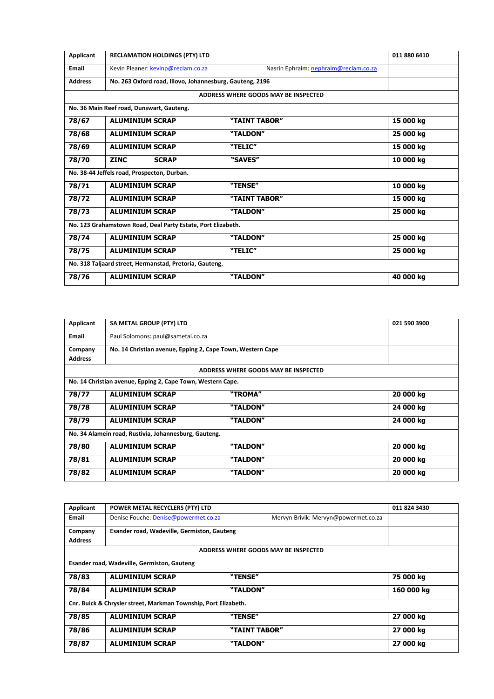| <b>Applicant</b>          | SA METAL GROUP (PTY) LTD                                                |                                      | 021 590 3900 |
|---------------------------|-------------------------------------------------------------------------|--------------------------------------|--------------|
| <b>Email</b>              | Paul Solomons: paul@sametal.co.za                                       |                                      |              |
| Company<br><b>Address</b> | No. 14 Christian avenue, Epping 2, Cape Town, Western Cape              |                                      |              |
|                           |                                                                         | ADDRESS WHERE GOODS MAY BE INSPECTED |              |
|                           | No. 14 Christian avenue, Epping 2, Cape Town, Western Cape.             |                                      |              |
| 78/77                     | <b>ALUMINIUM SCRAP</b>                                                  | "TROMA"                              | 20 000 kg    |
| 78/78                     | <b>ALUMINIUM SCRAP</b>                                                  | "TALDON"                             | 24 000 kg    |
| 78/79                     | <b>ALUMINIUM SCRAP</b>                                                  | "TALDON"                             | 24 000 kg    |
|                           | No. 34 Alamein road, Rustivia, Johannesburg, Gauteng.                   |                                      |              |
| 78/80                     | <b>ALUMINIUM SCRAP</b>                                                  | "TALDON"                             | 20 000 kg    |
| 78/81                     | <b>ALUMINIUM SCRAP</b>                                                  | "TALDON"                             | 20 000 kg    |
| 78/82                     | <b>ALUMINIUM SCRAP</b>                                                  | "TALDON"                             | 20 000 kg    |
| Applicant<br>Email        | POWER METAL RECYCLERS (PTY) LTD<br>Denise Fouche: Denise@powermet.co.za | Mervyn Brivik: Mervyn@powermet.co.za | 011 824 3430 |
|                           |                                                                         |                                      |              |
| Company                   | Esander road, Wadeville, Germiston, Gauteng                             |                                      |              |
| <b>Address</b>            |                                                                         |                                      |              |
|                           |                                                                         | ADDRESS WHERE GOODS MAY BE INSPECTED |              |
|                           | Esander road, Wadeville, Germiston, Gauteng                             |                                      |              |
|                           | <b>ALUMINIUM SCRAP</b>                                                  | "TENSE"                              | 75 000 kg    |
| 78/83                     |                                                                         |                                      | 160 000 kg   |
| 78/84                     | <b>ALUMINIUM SCRAP</b>                                                  | "TALDON"                             |              |
|                           | Cnr. Buick & Chrysler street, Markman Township, Port Elizabeth.         |                                      |              |
|                           | <b>ALUMINIUM SCRAP</b>                                                  | "TENSE"                              | 27 000 kg    |
| 78/85<br>78/86            | <b>ALUMINIUM SCRAP</b>                                                  | "TAINT TABOR"                        | 27 000 kg    |

| Applicant      | <b>RECLAMATION HOLDINGS (PTY) LTD</b>                        |                                       | 011 880 6410 |
|----------------|--------------------------------------------------------------|---------------------------------------|--------------|
| <b>Email</b>   | Kevin Pleaner: kevinp@reclam.co.za                           | Nasrin Ephraim: nephraim@reclam.co.za |              |
| <b>Address</b> | No. 263 Oxford road, Illovo, Johannesburg, Gauteng, 2196     |                                       |              |
|                |                                                              | ADDRESS WHERE GOODS MAY BE INSPECTED  |              |
|                | No. 36 Main Reef road, Dunswart, Gauteng.                    |                                       |              |
| 78/67          | <b>ALUMINIUM SCRAP</b>                                       | "TAINT TABOR"                         | 15 000 kg    |
| 78/68          | <b>ALUMINIUM SCRAP</b>                                       | "TALDON"                              | 25 000 kg    |
| 78/69          | <b>ALUMINIUM SCRAP</b>                                       | "TELIC"                               | 15 000 kg    |
| 78/70          | <b>ZINC</b><br><b>SCRAP</b>                                  | "SAVES"                               | 10 000 kg    |
|                | No. 38-44 Jeffels road, Prospecton, Durban.                  |                                       |              |
| 78/71          | <b>ALUMINIUM SCRAP</b>                                       | "TENSE"                               | 10 000 kg    |
| 78/72          | <b>ALUMINIUM SCRAP</b>                                       | "TAINT TABOR"                         | 15 000 kg    |
| 78/73          | <b>ALUMINIUM SCRAP</b>                                       | "TALDON"                              | 25 000 kg    |
|                | No. 123 Grahamstown Road, Deal Party Estate, Port Elizabeth. |                                       |              |
| 78/74          | <b>ALUMINIUM SCRAP</b>                                       | "TALDON"                              | 25 000 kg    |
| 78/75          | <b>ALUMINIUM SCRAP</b>                                       | "TELIC"                               | 25 000 kg    |
|                | No. 318 Taljaard street, Hermanstad, Pretoria, Gauteng.      |                                       |              |
| 78/76          | <b>ALUMINIUM SCRAP</b>                                       | "TALDON"                              | 40 000 kg    |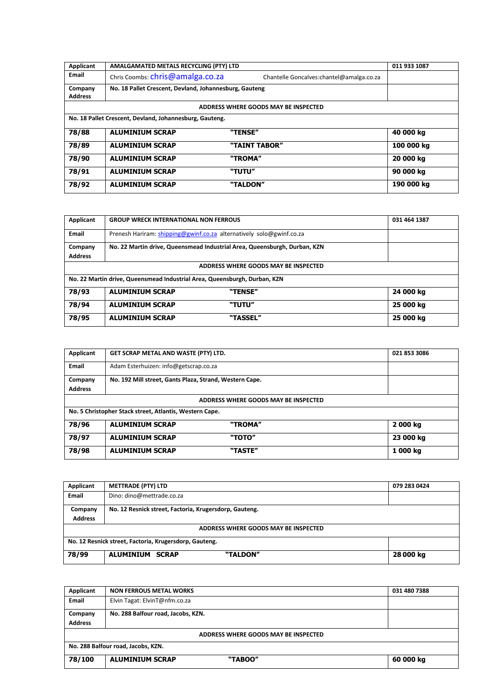| Applicant      | AMALGAMATED METALS RECYCLING (PTY) LTD                  |                                           | 011 933 1087 |
|----------------|---------------------------------------------------------|-------------------------------------------|--------------|
| Email          | Chris Coombs: chris@amalga.co.za                        | Chantelle Goncalves: chantel@amalga.co.za |              |
| Company        | No. 18 Pallet Crescent, Devland, Johannesburg, Gauteng  |                                           |              |
| <b>Address</b> |                                                         |                                           |              |
|                |                                                         | ADDRESS WHERE GOODS MAY BE INSPECTED      |              |
|                | No. 18 Pallet Crescent, Devland, Johannesburg, Gauteng. |                                           |              |
| 78/88          | <b>ALUMINIUM SCRAP</b>                                  | "TENSE"                                   | 40 000 kg    |
| 78/89          | <b>ALUMINIUM SCRAP</b>                                  | "TAINT TABOR"                             | 100 000 kg   |
| 78/90          | <b>ALUMINIUM SCRAP</b>                                  | "TROMA"                                   | 20 000 kg    |
| 78/91          | <b>ALUMINIUM SCRAP</b>                                  | "TUTU"                                    | 90 000 kg    |
| 78/92          | <b>ALUMINIUM SCRAP</b>                                  | "TALDON"                                  | 190 000 kg   |

| Applicant      | <b>GROUP WRECK INTERNATIONAL NON FERROUS</b>                              |                                      | 031 464 1387 |  |
|----------------|---------------------------------------------------------------------------|--------------------------------------|--------------|--|
| Email          | Prenesh Hariram: shipping@gwinf.co.za alternatively solo@gwinf.co.za      |                                      |              |  |
| Company        | No. 22 Martin drive, Queensmead Industrial Area, Queensburgh, Durban, KZN |                                      |              |  |
| <b>Address</b> |                                                                           |                                      |              |  |
|                |                                                                           | ADDRESS WHERE GOODS MAY BE INSPECTED |              |  |
|                | No. 22 Martin drive, Queensmead Industrial Area, Queensburgh, Durban, KZN |                                      |              |  |
| 78/93          | <b>ALUMINIUM SCRAP</b>                                                    | "TENSE"                              | 24 000 kg    |  |
| 78/94          | <b>ALUMINIUM SCRAP</b>                                                    | "TUTU"                               | 25 000 kg    |  |
| 78/95          | <b>ALUMINIUM SCRAP</b>                                                    | "TASSEL"                             | 25 000 kg    |  |

| Applicant                            | GET SCRAP METAL AND WASTE (PTY) LTD.                    |         | 021 853 3086 |  |  |  |
|--------------------------------------|---------------------------------------------------------|---------|--------------|--|--|--|
| Email                                | Adam Esterhuizen: info@getscrap.co.za                   |         |              |  |  |  |
| Company                              | No. 192 Mill street, Gants Plaza, Strand, Western Cape. |         |              |  |  |  |
| <b>Address</b>                       |                                                         |         |              |  |  |  |
| ADDRESS WHERE GOODS MAY BE INSPECTED |                                                         |         |              |  |  |  |
|                                      | No. 5 Christopher Stack street, Atlantis, Western Cape. |         |              |  |  |  |
| 78/96                                | <b>ALUMINIUM SCRAP</b><br>"TROMA"<br>2000 kg            |         |              |  |  |  |
| 78/97                                | <b>ALUMINIUM SCRAP</b>                                  | "TOTO"  | 23 000 kg    |  |  |  |
| 78/98                                | <b>ALUMINIUM SCRAP</b>                                  | "TASTE" | 1000 kg      |  |  |  |

| Applicant                                              | <b>METTRADE (PTY) LTD</b>                              | 079 283 0424 |  |
|--------------------------------------------------------|--------------------------------------------------------|--------------|--|
| Email                                                  | Dino: dino@mettrade.co.za                              |              |  |
| Company                                                | No. 12 Resnick street, Factoria, Krugersdorp, Gauteng. |              |  |
| <b>Address</b>                                         |                                                        |              |  |
| ADDRESS WHERE GOODS MAY BE INSPECTED                   |                                                        |              |  |
| No. 12 Resnick street, Factoria, Krugersdorp, Gauteng. |                                                        |              |  |
| 78/99                                                  | <b>ALUMINIUM SCRAP</b><br>"TALDON"                     | 28 000 kg    |  |

| Applicant                            | <b>NON FERROUS METAL WORKS</b>     | 031 480 7388 |  |
|--------------------------------------|------------------------------------|--------------|--|
| Email                                | Elvin Tagat: ElvinT@nfm.co.za      |              |  |
| Company<br><b>Address</b>            | No. 288 Balfour road, Jacobs, KZN. |              |  |
| ADDRESS WHERE GOODS MAY BE INSPECTED |                                    |              |  |
|                                      | No. 288 Balfour road, Jacobs, KZN. |              |  |
| 78/100                               | "TABOO"<br><b>ALUMINIUM SCRAP</b>  | 60 000 kg    |  |